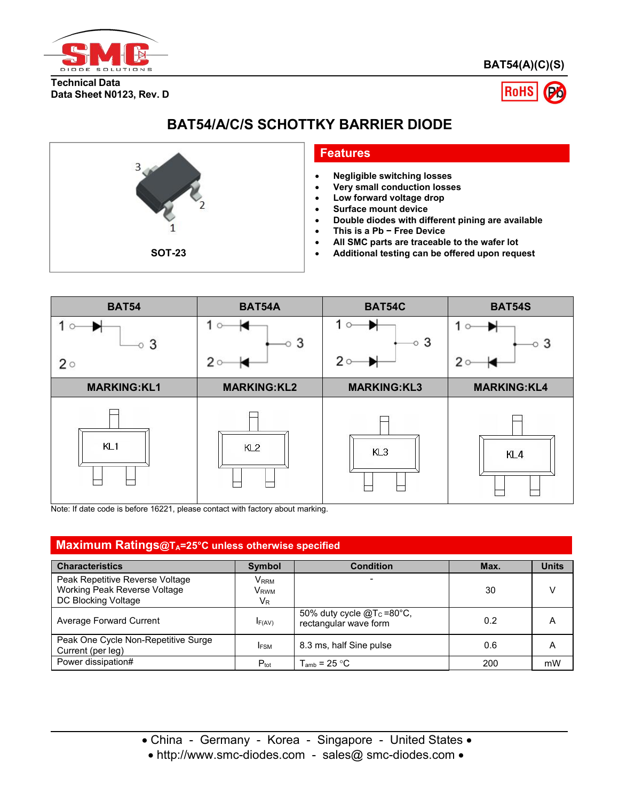

**BAT54(A)(C)(S)**

**Technical Data Data Sheet N0123, Rev. D**



# **BAT54/A/C/S SCHOTTKY BARRIER DIODE**



#### **Features**

- **Negligible switching losses**
- **Very small conduction losses**
- **Low forward voltage drop**
- **Surface mount device**
- **Double diodes with different pining are available**
- **This is a Pb − Free Device**
- **All SMC parts are traceable to the wafer lot**
- **SOT-23 Additional testing can be offered upon request**



Note: If date code is before 16221, please contact with factory about marking.

#### **Maximum Ratings@TA=25°C unless otherwise specified**

| <b>Characteristics</b>                                                                 | <b>Symbol</b>                              | <b>Condition</b>                                        | Max. | <b>Units</b>   |
|----------------------------------------------------------------------------------------|--------------------------------------------|---------------------------------------------------------|------|----------------|
| Peak Repetitive Reverse Voltage<br>Working Peak Reverse Voltage<br>DC Blocking Voltage | V <sub>RRM</sub><br>V <sub>rwm</sub><br>VR |                                                         | 30   |                |
| Average Forward Current                                                                | IF(AV)                                     | 50% duty cycle $@T_c = 80°C$ ,<br>rectangular wave form | 0.2  | $\overline{A}$ |
| Peak One Cycle Non-Repetitive Surge<br>Current (per leg)                               | <b>IFSM</b>                                | 8.3 ms, half Sine pulse                                 | 0.6  | $\overline{A}$ |
| Power dissipation#                                                                     | $P_{\text{tot}}$                           | $T_{\text{amb}}$ = 25 °C                                | 200  | mW             |

• China - Germany - Korea - Singapore - United States •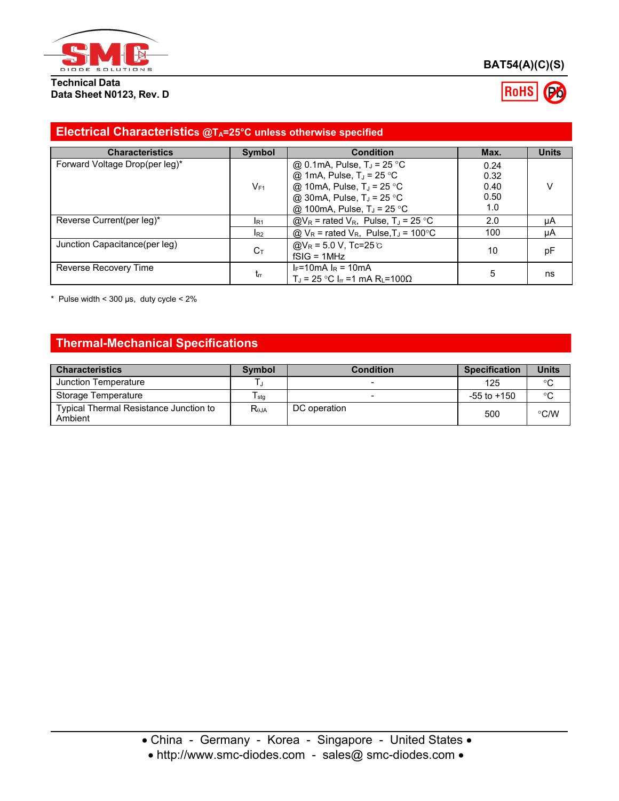

#### **Technical Data Data Sheet N0123, Rev. D**



### **Electrical Characteristics @TA=25°C unless otherwise specified**

| <b>Characteristics</b>         | <b>Symbol</b>   | <b>Condition</b>                                                                                         | Max. | <b>Units</b> |
|--------------------------------|-----------------|----------------------------------------------------------------------------------------------------------|------|--------------|
| Forward Voltage Drop(per leg)* |                 | @ 0.1mA, Pulse, $T_J$ = 25 °C                                                                            | 0.24 |              |
|                                |                 | @ 1mA, Pulse, $T_J = 25$ °C                                                                              | 0.32 |              |
|                                | $V_{F1}$        | @ 10mA, Pulse, $T_J = 25$ °C                                                                             | 0.40 | v            |
|                                |                 | @ 30mA, Pulse, $T_J = 25$ °C                                                                             | 0.50 |              |
|                                |                 | @ 100mA, Pulse, $T_J = 25 \degree C$                                                                     | 1.0  |              |
| Reverse Current(per leg)*      | IR <sub>1</sub> | $\textcircled{a}V_{R}$ = rated $V_{R}$ , Pulse, T <sub>J</sub> = 25 °C                                   | 2.0  | μA           |
|                                | $I_{R2}$        | $@$ V <sub>R</sub> = rated V <sub>R</sub> , Pulse, T <sub>J</sub> = 100 °C                               | 100  | μA           |
| Junction Capacitance(per leg)  | $C_T$           | @V <sub>R</sub> = 5.0 V, Tc=25 ℃<br>$fSIG = 1MHz$                                                        | 10   | pF           |
| Reverse Recovery Time          | tr              | $I_F = 10 \text{ mA}$ $I_R = 10 \text{ mA}$<br>$T_1$ = 25 °C I <sub>π</sub> = 1 mA R <sub>i</sub> = 100Ω | 5    | ns           |

 $*$  Pulse width < 300 µs, duty cycle <  $2\%$ 

# **Thermal-Mechanical Specifications**

| <b>Characteristics</b>                            | <b>Symbol</b>  | <b>Condition</b> | <b>Specification</b> | Units   |
|---------------------------------------------------|----------------|------------------|----------------------|---------|
| Junction Temperature                              |                |                  | 125                  | $\circ$ |
| Storage Temperature                               | sta            |                  | $-55$ to $+150$      | $\circ$ |
| Typical Thermal Resistance Junction to<br>Ambient | $R_{\theta$ JA | DC operation     | 500                  | ℃/W     |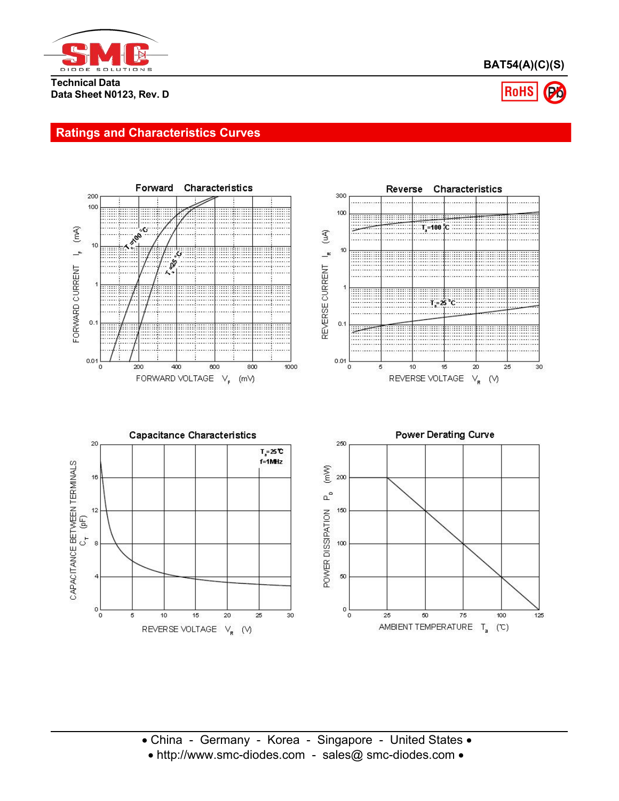

**BAT54(A)(C)(S)**

**Technical Data Data Sheet N0123, Rev. D**

# **RoHS**

## **Ratings and Characteristics Curves**

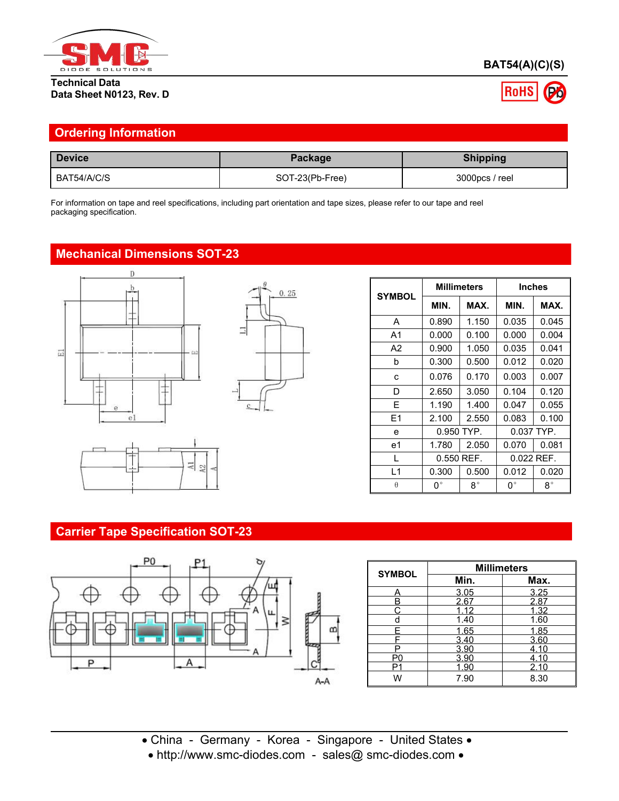

#### **Technical Data Data Sheet N0123, Rev. D**

# **BAT54(A)(C)(S)**



| <b>Device</b> | Package         | <b>Shipping</b> |
|---------------|-----------------|-----------------|
| BAT54/A/C/S   | SOT-23(Pb-Free) | 3000pcs / reel  |

# **Mechanical Dimensions SOT-23**





|                |             | <b>Millimeters</b> |             | <b>Inches</b> |
|----------------|-------------|--------------------|-------------|---------------|
| <b>SYMBOL</b>  | MIN.        | MAX.               | MIN.        | MAX.          |
| A              | 0.890       | 1.150              | 0.035       | 0.045         |
| A <sub>1</sub> | 0.000       | 0.100              | 0.000       | 0.004         |
| A <sub>2</sub> | 0.900       | 1.050              | 0.035       | 0.041         |
| b              | 0.300       | 0.500              | 0.012       | 0.020         |
| c              | 0.076       | 0.170              | 0.003       | 0.007         |
| D              | 2.650       | 3.050              | 0.104       | 0.120         |
| E              | 1.190       | 1.400              | 0.047       | 0.055         |
| E1             | 2.100       | 2.550              | 0.083       | 0.100         |
| e              |             | 0.950 TYP.         |             | 0.037 TYP.    |
| e <sub>1</sub> | 1.780       | 2.050              | 0.070       | 0.081         |
|                |             | $0.550$ REF.       |             | $0.022$ REF.  |
| L1             | 0.300       | 0.500              | 0.012       | 0.020         |
| $\theta$       | $0^{\circ}$ | $8^{\circ}$        | $0^{\circ}$ | $8^{\circ}$   |

# **Carrier Tape Specification SOT-23**



| <b>SYMBOL</b> |      | <b>Millimeters</b> |
|---------------|------|--------------------|
|               | Min. | Max.               |
|               | 3.05 | 3.25               |
|               | 2.67 | 2.87               |
|               | 1.12 | 1.32               |
|               | 1.40 | 1.60               |
|               | 1.65 | 1.85               |
|               | 3.40 | 3.60               |
|               | 3.90 | 4.10               |
| Pſ            | 3.90 | 4.10               |
| □             | 1.90 | 2.10               |
| ۱Λ.           | 7.90 | 8.30               |

China - Germany - Korea - Singapore - United States